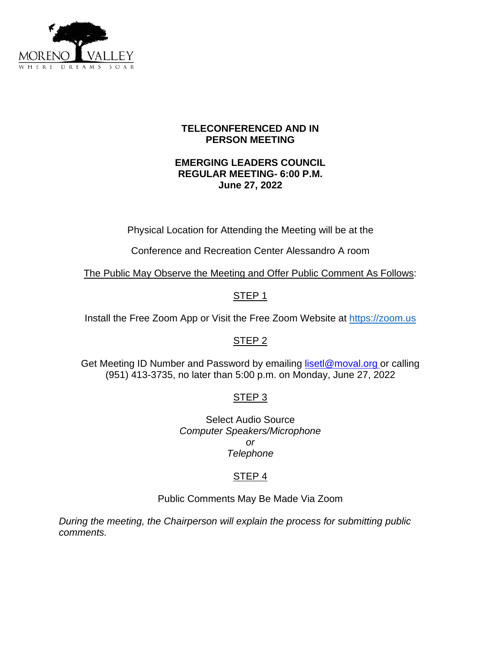

## **TELECONFERENCED AND IN PERSON MEETING**

## **EMERGING LEADERS COUNCIL REGULAR MEETING- 6:00 P.M. June 27, 2022**

Physical Location for Attending the Meeting will be at the

Conference and Recreation Center Alessandro A room

The Public May Observe the Meeting and Offer Public Comment As Follows:

## STEP 1

Install the Free Zoom App or Visit the Free Zoom Website at [https://zoom.us](https://zoom.us/)

## STEP<sub>2</sub>

Get Meeting ID Number and Password by emailing [lisetl@moval.org](mailto:lisetl@moval.org) or calling (951) 413-3735, no later than 5:00 p.m. on Monday, June 27, 2022

# STEP 3

Select Audio Source *Computer Speakers/Microphone or Telephone*

# STEP 4

Public Comments May Be Made Via Zoom

*During the meeting, the Chairperson will explain the process for submitting public comments.*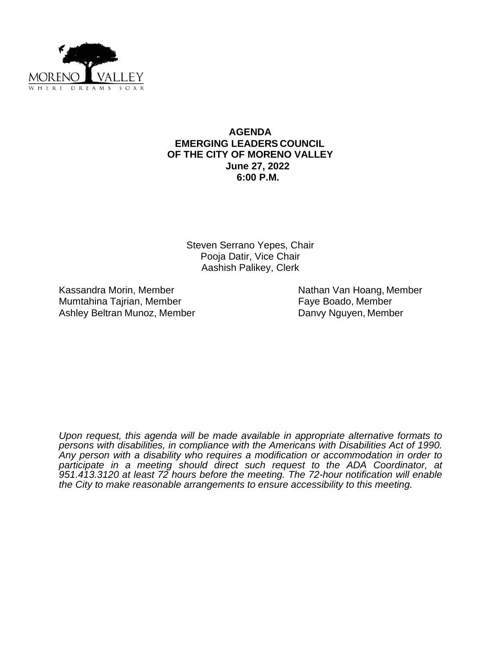

### **AGENDA EMERGING LEADERS COUNCIL OF THE CITY OF MORENO VALLEY June 27, 2022 6:00 P.M.**

Steven Serrano Yepes, Chair Pooja Datir, Vice Chair Aashish Palikey, Clerk

Kassandra Morin, Member Nathan Van Hoang, Member Mumtahina Tajrian, Member Faye Boado, Member Ashley Beltran Munoz, Member **Danvy Nguyen, Member** 

*Upon request, this agenda will be made available in appropriate alternative formats to persons with disabilities, in compliance with the Americans with Disabilities Act of 1990. Any person with a disability who requires a modification or accommodation in order to participate in a meeting should direct such request to the ADA Coordinator, at 951.413.3120 at least 72 hours before the meeting. The 72-hour notification will enable the City to make reasonable arrangements to ensure accessibility to this meeting.*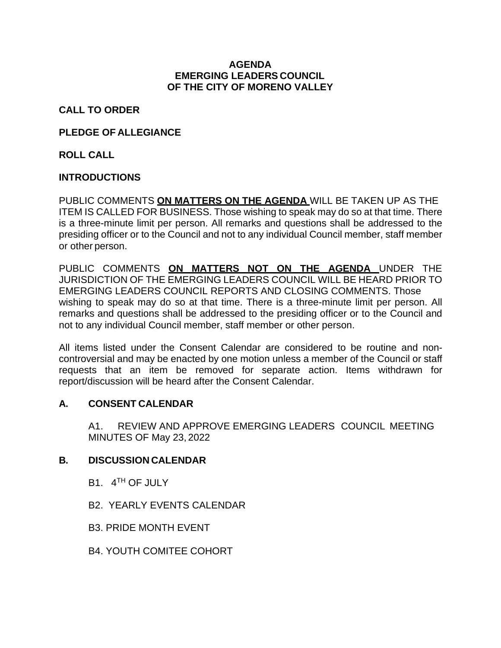#### **AGENDA EMERGING LEADERS COUNCIL OF THE CITY OF MORENO VALLEY**

**CALL TO ORDER** 

## **PLEDGE OF ALLEGIANCE**

**ROLL CALL** 

## **INTRODUCTIONS**

PUBLIC COMMENTS **ON MATTERS ON THE AGENDA** WILL BE TAKEN UP AS THE ITEM IS CALLED FOR BUSINESS. Those wishing to speak may do so at that time. There is a three-minute limit per person. All remarks and questions shall be addressed to the presiding officer or to the Council and not to any individual Council member, staff member or other person.

PUBLIC COMMENTS **ON MATTERS NOT ON THE AGENDA** UNDER THE JURISDICTION OF THE EMERGING LEADERS COUNCIL WILL BE HEARD PRIOR TO EMERGING LEADERS COUNCIL REPORTS AND CLOSING COMMENTS. Those wishing to speak may do so at that time. There is a three-minute limit per person. All remarks and questions shall be addressed to the presiding officer or to the Council and not to any individual Council member, staff member or other person.

All items listed under the Consent Calendar are considered to be routine and noncontroversial and may be enacted by one motion unless a member of the Council or staff requests that an item be removed for separate action. Items withdrawn for report/discussion will be heard after the Consent Calendar.

### **A. CONSENT CALENDAR**

A1. REVIEW AND APPROVE EMERGING LEADERS COUNCIL MEETING MINUTES OF May 23, 2022

### **B. DISCUSSION CALENDAR**

- B1. 4<sup>TH</sup> OF JULY
- B2. YEARLY EVENTS CALENDAR
- B3. PRIDE MONTH EVENT
- B4. YOUTH COMITEE COHORT